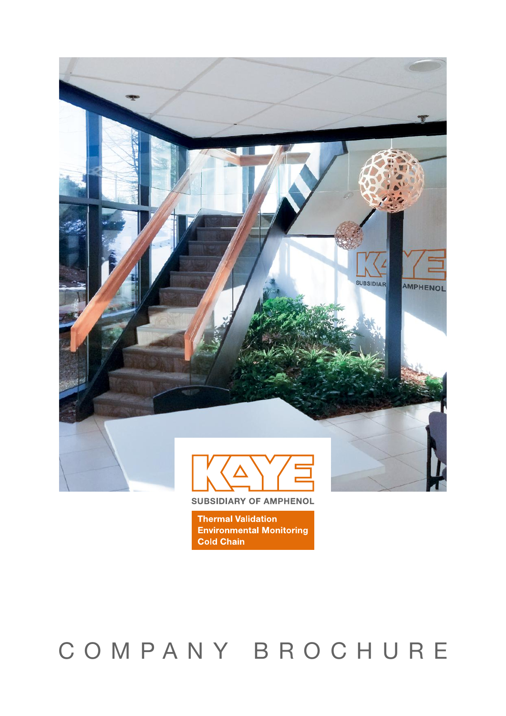

**SUBSIDIARY OF AMPHENOL** 

**Thermal Validation Environmental Monitoring Cold Chain** 

# COMPANY BROCHURE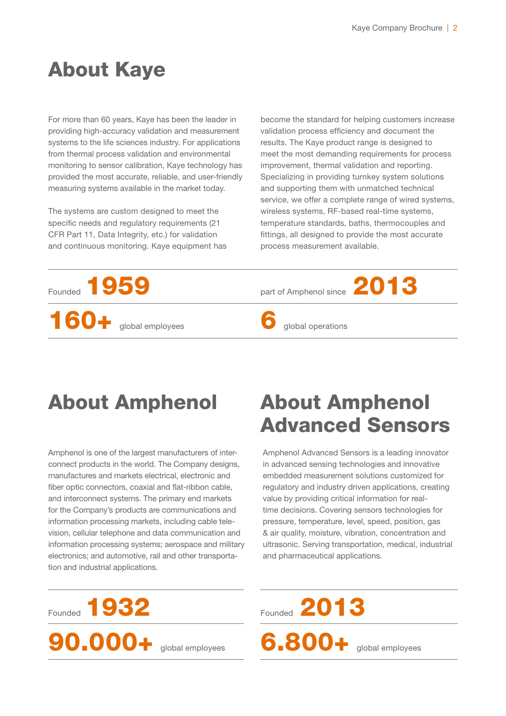## About Kaye

For more than 60 years, Kaye has been the leader in providing high-accuracy validation and measurement systems to the life sciences industry. For applications from thermal process validation and environmental monitoring to sensor calibration, Kaye technology has provided the most accurate, reliable, and user-friendly measuring systems available in the market today.

The systems are custom designed to meet the specific needs and regulatory requirements (21 CFR Part 11, Data Integrity, etc.) for validation and continuous monitoring. Kaye equipment has

become the standard for helping customers increase validation process efficiency and document the results. The Kaye product range is designed to meet the most demanding requirements for process improvement, thermal validation and reporting. Specializing in providing turnkey system solutions and supporting them with unmatched technical service, we offer a complete range of wired systems, wireless systems, RF-based real-time systems, temperature standards, baths, thermocouples and fittings, all designed to provide the most accurate process measurement available.



## About Amphenol

Amphenol is one of the largest manufacturers of interconnect products in the world. The Company designs, manufactures and markets electrical, electronic and fiber optic connectors, coaxial and flat-ribbon cable, and interconnect systems. The primary end markets for the Company's products are communications and information processing markets, including cable television, cellular telephone and data communication and information processing systems; aerospace and military electronics; and automotive, rail and other transportation and industrial applications.

## About Amphenol Advanced Sensors

Amphenol Advanced Sensors is a leading innovator in advanced sensing technologies and innovative embedded measurement solutions customized for regulatory and industry driven applications, creating value by providing critical information for realtime decisions. Covering sensors technologies for pressure, temperature, level, speed, position, gas & air quality, moisture, vibration, concentration and ultrasonic. Serving transportation, medical, industrial and pharmaceutical applications.

Founded 2013

6.800+ global employees

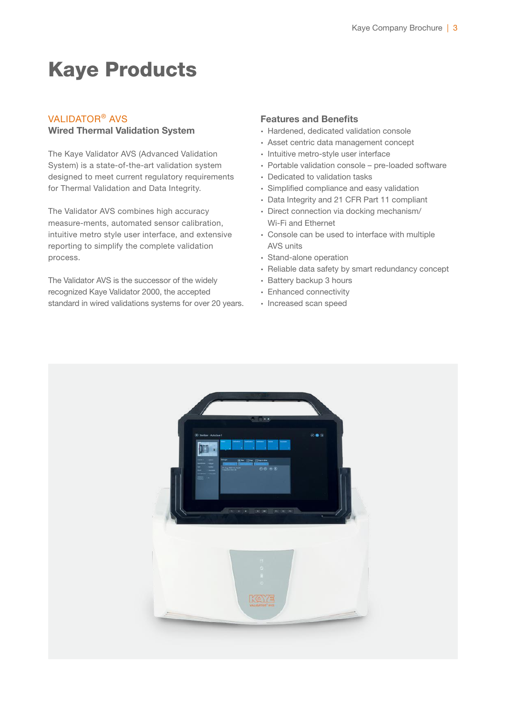## Kaye Products

### VALIDATOR® AVS

#### Wired Thermal Validation System

The Kaye Validator AVS (Advanced Validation System) is a state-of-the-art validation system designed to meet current regulatory requirements for Thermal Validation and Data Integrity.

The Validator AVS combines high accuracy measure-ments, automated sensor calibration, intuitive metro style user interface, and extensive reporting to simplify the complete validation process.

The Validator AVS is the successor of the widely recognized Kaye Validator 2000, the accepted standard in wired validations systems for over 20 years.

#### Features and Benefits

- ∙ Hardened, dedicated validation console
- ∙ Asset centric data management concept
- ∙ Intuitive metro-style user interface
- ∙ Portable validation console pre-loaded software
- ∙ Dedicated to validation tasks
- ∙ Simplified compliance and easy validation
- ∙ Data Integrity and 21 CFR Part 11 compliant
- ∙ Direct connection via docking mechanism/ Wi-Fi and Ethernet
- ∙ Console can be used to interface with multiple AVS units
- ∙ Stand-alone operation
- ∙ Reliable data safety by smart redundancy concept
- ∙ Battery backup 3 hours
- ∙ Enhanced connectivity
- ∙ Increased scan speed

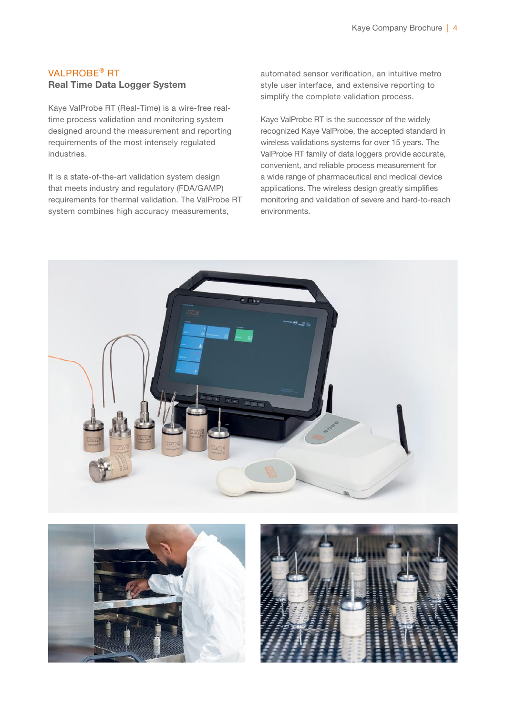## VALPROBE® RT Real Time Data Logger System

Kaye ValProbe RT (Real-Time) is a wire-free realtime process validation and monitoring system designed around the measurement and reporting requirements of the most intensely regulated industries.

It is a state-of-the-art validation system design that meets industry and regulatory (FDA/GAMP) requirements for thermal validation. The ValProbe RT system combines high accuracy measurements,

automated sensor verification, an intuitive metro style user interface, and extensive reporting to simplify the complete validation process.

Kaye ValProbe RT is the successor of the widely recognized Kaye ValProbe, the accepted standard in wireless validations systems for over 15 years. The ValProbe RT family of data loggers provide accurate, convenient, and reliable process measurement for a wide range of pharmaceutical and medical device applications. The wireless design greatly simplifies monitoring and validation of severe and hard-to-reach environments.





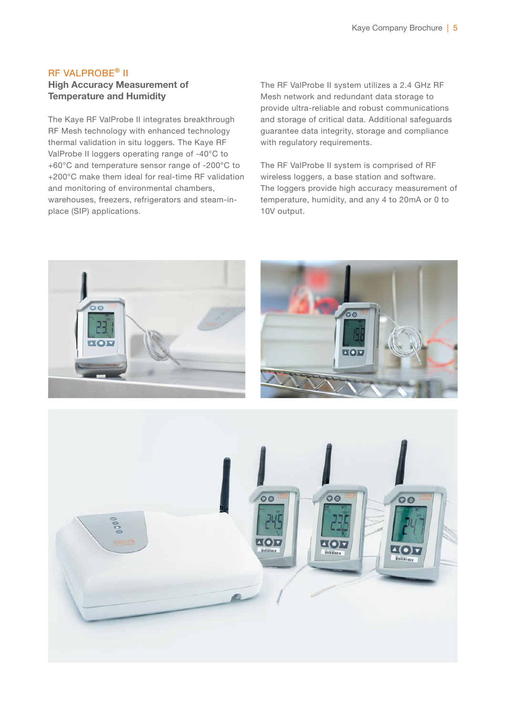## RF VALPROBE® II

### High Accuracy Measurement of Temperature and Humidity

The Kaye RF ValProbe II integrates breakthrough RF Mesh technology with enhanced technology thermal validation in situ loggers. The Kaye RF ValProbe II loggers operating range of -40°C to +60°C and temperature sensor range of -200°C to +200°C make them ideal for real-time RF validation and monitoring of environmental chambers, warehouses, freezers, refrigerators and steam-inplace (SIP) applications.

The RF ValProbe II system utilizes a 2.4 GHz RF Mesh network and redundant data storage to provide ultra-reliable and robust communications and storage of critical data. Additional safeguards guarantee data integrity, storage and compliance with regulatory requirements.

The RF ValProbe II system is comprised of RF wireless loggers, a base station and software. The loggers provide high accuracy measurement of temperature, humidity, and any 4 to 20mA or 0 to 10V output.

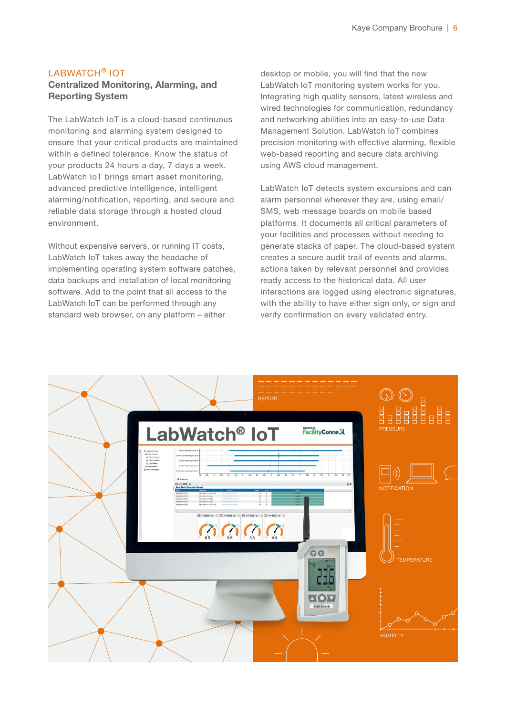### LABWATCH® IOT Centralized Monitoring, Alarming, and Reporting System

The LabWatch IoT is a cloud-based continuous monitoring and alarming system designed to ensure that your critical products are maintained within a defined tolerance. Know the status of your products 24 hours a day, 7 days a week. LabWatch IoT brings smart asset monitoring, advanced predictive intelligence, intelligent alarming/notification, reporting, and secure and reliable data storage through a hosted cloud environment.

Without expensive servers, or running IT costs, LabWatch IoT takes away the headache of implementing operating system software patches, data backups and installation of local monitoring software. Add to the point that all access to the LabWatch IoT can be performed through any standard web browser, on any platform – either

desktop or mobile, you will find that the new LabWatch IoT monitoring system works for you. Integrating high quality sensors, latest wireless and wired technologies for communication, redundancy and networking abilities into an easy-to-use Data Management Solution. LabWatch IoT combines precision monitoring with effective alarming, flexible web-based reporting and secure data archiving using AWS cloud management.

LabWatch IoT detects system excursions and can alarm personnel wherever they are, using email/ SMS, web message boards on mobile based platforms. It documents all critical parameters of your facilities and processes without needing to generate stacks of paper. The cloud-based system creates a secure audit trail of events and alarms, actions taken by relevant personnel and provides ready access to the historical data. All user interactions are logged using electronic signatures, with the ability to have either sign only, or sign and verify confirmation on every validated entry.

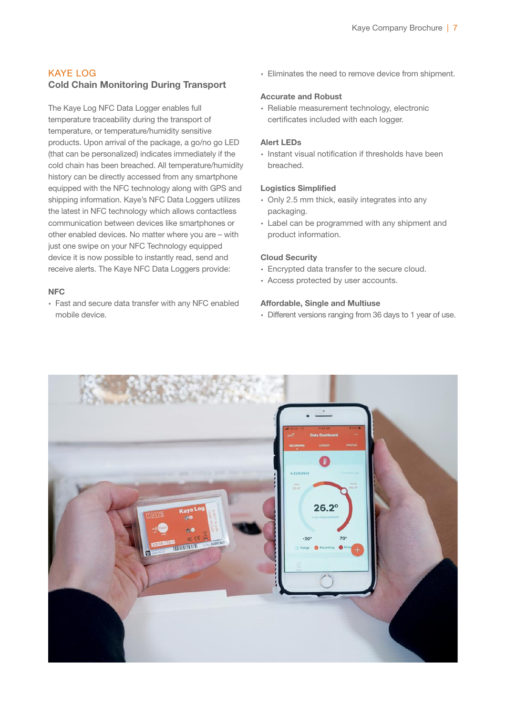## KAYE LOG Cold Chain Monitoring During Transport

The Kaye Log NFC Data Logger enables full temperature traceability during the transport of temperature, or temperature/humidity sensitive products. Upon arrival of the package, a go/no go LED (that can be personalized) indicates immediately if the cold chain has been breached. All temperature/humidity history can be directly accessed from any smartphone equipped with the NFC technology along with GPS and shipping information. Kaye's NFC Data Loggers utilizes the latest in NFC technology which allows contactless communication between devices like smartphones or other enabled devices. No matter where you are – with just one swipe on your NFC Technology equipped device it is now possible to instantly read, send and receive alerts. The Kaye NFC Data Loggers provide:

#### **NFC**

∙ Fast and secure data transfer with any NFC enabled mobile device.

∙ Eliminates the need to remove device from shipment.

#### Accurate and Robust

∙ Reliable measurement technology, electronic certificates included with each logger.

#### Alert LEDs

∙ Instant visual notification if thresholds have been breached.

#### Logistics Simplified

- ∙ Only 2.5 mm thick, easily integrates into any packaging.
- ∙ Label can be programmed with any shipment and product information.

#### Cloud Security

- ∙ Encrypted data transfer to the secure cloud.
- ∙ Access protected by user accounts.

#### Affordable, Single and Multiuse

∙ Different versions ranging from 36 days to 1 year of use.

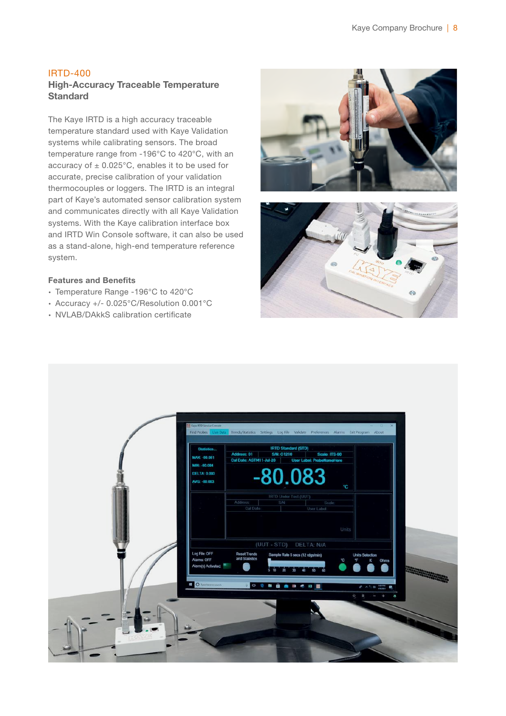## IRTD-400

## High-Accuracy Traceable Temperature **Standard**

The Kaye IRTD is a high accuracy traceable temperature standard used with Kaye Validation systems while calibrating sensors. The broad temperature range from -196°C to 420°C, with an accuracy of  $\pm$  0.025°C, enables it to be used for accurate, precise calibration of your validation thermocouples or loggers. The IRTD is an integral part of Kaye's automated sensor calibration system and communicates directly with all Kaye Validation systems. With the Kaye calibration interface box and IRTD Win Console software, it can also be used as a stand-alone, high-end temperature reference system.

#### Features and Benefits

- ∙ Temperature Range -196°C to 420°C
- ∙ Accuracy +/- 0.025°C/Resolution 0.001°C
- ∙ NVLAB/DAkkS calibration certificate





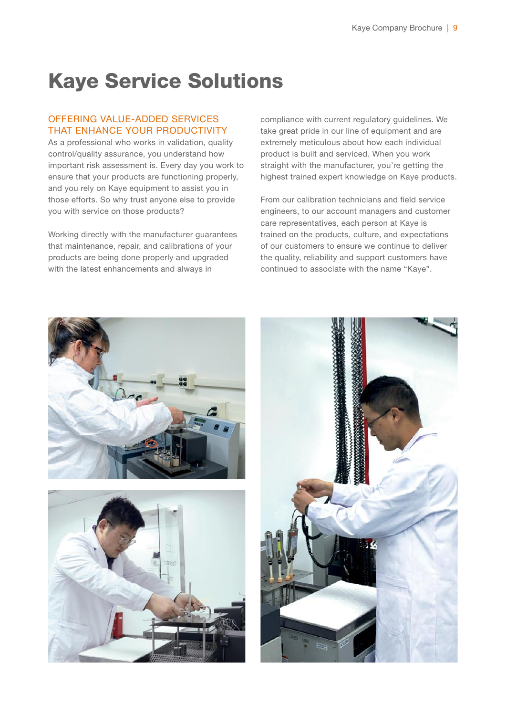## Kaye Service Solutions

#### OFFERING VALUE-ADDED SERVICES THAT ENHANCE YOUR PRODUCTIVITY

As a professional who works in validation, quality control/quality assurance, you understand how important risk assessment is. Every day you work to ensure that your products are functioning properly, and you rely on Kaye equipment to assist you in those efforts. So why trust anyone else to provide you with service on those products?

Working directly with the manufacturer guarantees that maintenance, repair, and calibrations of your products are being done properly and upgraded with the latest enhancements and always in

compliance with current regulatory guidelines. We take great pride in our line of equipment and are extremely meticulous about how each individual product is built and serviced. When you work straight with the manufacturer, you're getting the highest trained expert knowledge on Kaye products.

From our calibration technicians and field service engineers, to our account managers and customer care representatives, each person at Kaye is trained on the products, culture, and expectations of our customers to ensure we continue to deliver the quality, reliability and support customers have continued to associate with the name "Kaye".





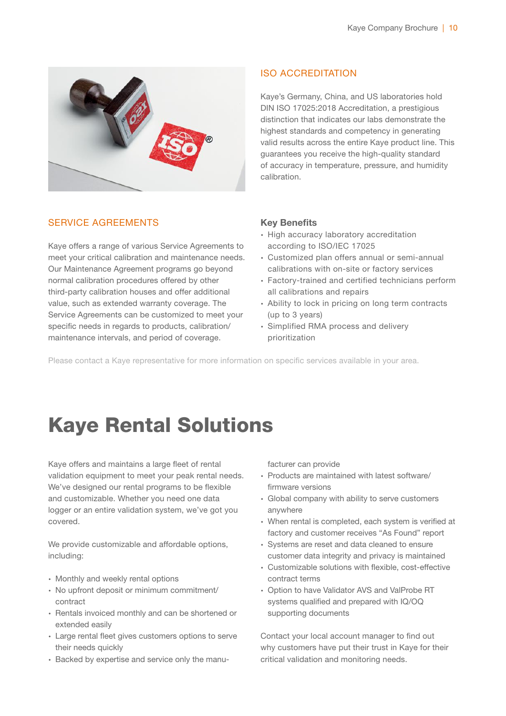

## SERVICE AGREEMENTS

Kaye offers a range of various Service Agreements to meet your critical calibration and maintenance needs. Our Maintenance Agreement programs go beyond normal calibration procedures offered by other third-party calibration houses and offer additional value, such as extended warranty coverage. The Service Agreements can be customized to meet your specific needs in regards to products, calibration/ maintenance intervals, and period of coverage.

## ISO ACCREDITATION

Kaye's Germany, China, and US laboratories hold DIN ISO 17025:2018 Accreditation, a prestigious distinction that indicates our labs demonstrate the highest standards and competency in generating valid results across the entire Kaye product line. This guarantees you receive the high-quality standard of accuracy in temperature, pressure, and humidity calibration.

### Key Benefits

- ∙ High accuracy laboratory accreditation according to ISO/IEC 17025
- ∙ Customized plan offers annual or semi-annual calibrations with on-site or factory services
- ∙ Factory-trained and certified technicians perform all calibrations and repairs
- ∙ Ability to lock in pricing on long term contracts (up to 3 years)
- ∙ Simplified RMA process and delivery prioritization

Please contact a Kaye representative for more information on specific services available in your area.

## Kaye Rental Solutions

Kaye offers and maintains a large fleet of rental validation equipment to meet your peak rental needs. We've designed our rental programs to be flexible and customizable. Whether you need one data logger or an entire validation system, we've got you covered.

We provide customizable and affordable options, including:

- ∙ Monthly and weekly rental options
- ∙ No upfront deposit or minimum commitment/ contract
- ∙ Rentals invoiced monthly and can be shortened or extended easily
- ∙ Large rental fleet gives customers options to serve their needs quickly
- ∙ Backed by expertise and service only the manu-

facturer can provide

- ∙ Products are maintained with latest software/ firmware versions
- ∙ Global company with ability to serve customers anywhere
- ∙ When rental is completed, each system is verified at factory and customer receives "As Found" report
- ∙ Systems are reset and data cleaned to ensure customer data integrity and privacy is maintained
- ∙ Customizable solutions with flexible, cost-effective contract terms
- ∙ Option to have Validator AVS and ValProbe RT systems qualified and prepared with IQ/OQ supporting documents

Contact your local account manager to find out why customers have put their trust in Kaye for their critical validation and monitoring needs.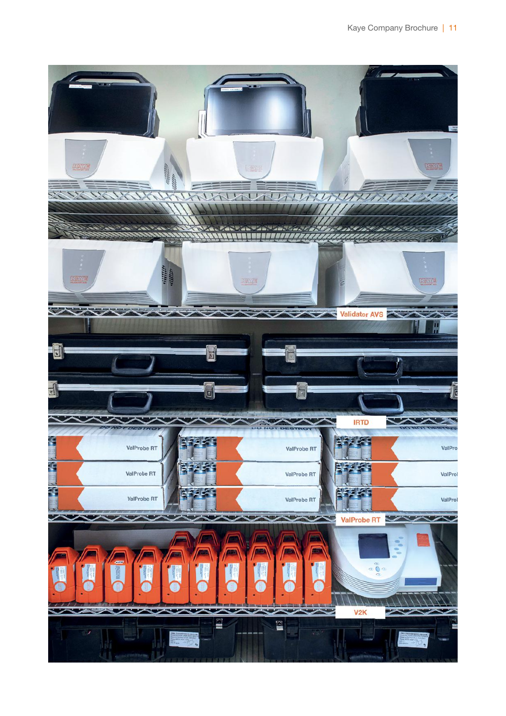